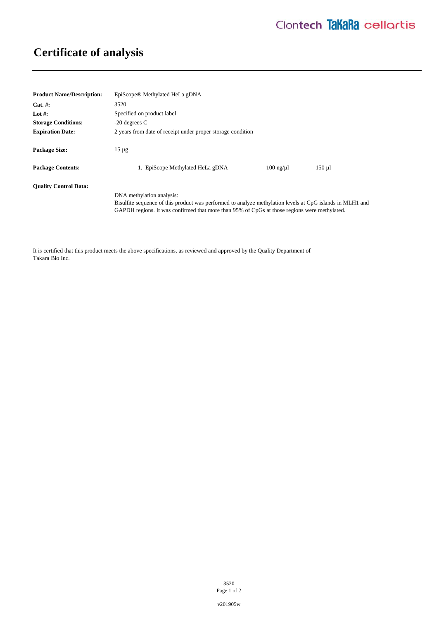## **Certificate of analysis**

| <b>Product Name/Description:</b> | EpiScope <sup>®</sup> Methylated HeLa gDNA                                                                                                                                                                                             |                   |          |
|----------------------------------|----------------------------------------------------------------------------------------------------------------------------------------------------------------------------------------------------------------------------------------|-------------------|----------|
| $Cat. \#:$                       | 3520                                                                                                                                                                                                                                   |                   |          |
| Lot #:                           | Specified on product label                                                                                                                                                                                                             |                   |          |
| <b>Storage Conditions:</b>       | $-20$ degrees C                                                                                                                                                                                                                        |                   |          |
| <b>Expiration Date:</b>          | 2 years from date of receipt under proper storage condition                                                                                                                                                                            |                   |          |
| <b>Package Size:</b>             | $15 \mu$ g                                                                                                                                                                                                                             |                   |          |
| <b>Package Contents:</b>         | 1. EpiScope Methylated HeLa gDNA                                                                                                                                                                                                       | $100$ ng/ $\mu$ l | $150$ ul |
| <b>Ouality Control Data:</b>     |                                                                                                                                                                                                                                        |                   |          |
|                                  | DNA methylation analysis:<br>Bisulfite sequence of this product was performed to analyze methylation levels at CpG islands in MLH1 and<br>GAPDH regions. It was confirmed that more than 95% of CpGs at those regions were methylated. |                   |          |

It is certified that this product meets the above specifications, as reviewed and approved by the Quality Department of Takara Bio Inc.

> 3520 Page 1 of 2

v201905w